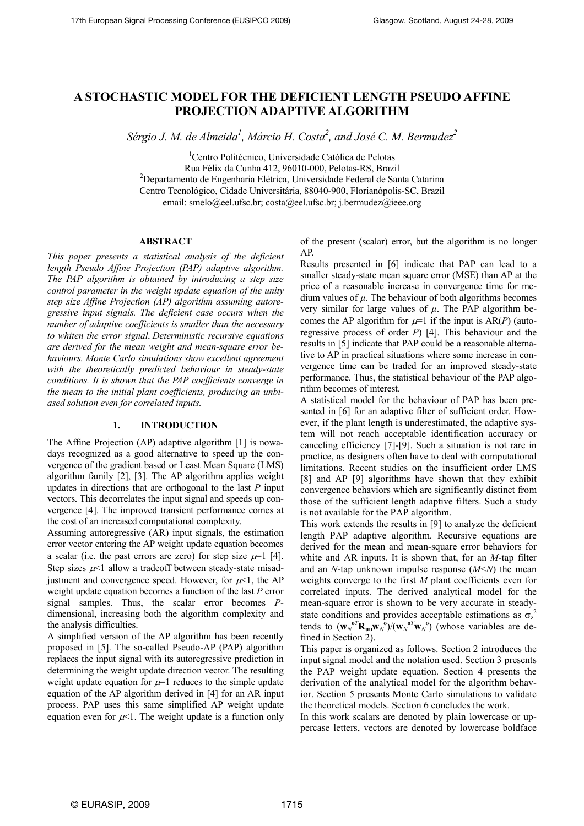# A STOCHASTIC MODEL FOR THE DEFICIENT LENGTH PSEUDO AFFINE PROJECTION ADAPTIVE ALGORITHM

Sérgio J. M. de Almeida $^l$ , Márcio H. Costa $^2$ , and José C. M. Bermudez $^2$ 

<sup>1</sup>Centro Politécnico, Universidade Católica de Pelotas Rua Félix da Cunha 412, 96010-000, Pelotas-RS, Brazil <sup>2</sup>Departamento de Engenharia Elétrica, Universidade Federal de Santa Catarina Centro Tecnológico, Cidade Universitária, 88040-900, Florianópolis-SC, Brazil email: smelo@eel.ufsc.br; costa@eel.ufsc.br; j.bermudez@ieee.org

#### ABSTRACT

This paper presents a statistical analysis of the deficient length Pseudo Affine Projection (PAP) adaptive algorithm. The PAP algorithm is obtained by introducing a step size control parameter in the weight update equation of the unity step size Affine Projection (AP) algorithm assuming autoregressive input signals. The deficient case occurs when the number of adaptive coefficients is smaller than the necessary to whiten the error signal. Deterministic recursive equations are derived for the mean weight and mean-square error behaviours. Monte Carlo simulations show excellent agreement with the theoretically predicted behaviour in steady-state conditions. It is shown that the PAP coefficients converge in the mean to the initial plant coefficients, producing an unbiased solution even for correlated inputs.

## 1. INTRODUCTION

The Affine Projection (AP) adaptive algorithm [1] is nowadays recognized as a good alternative to speed up the convergence of the gradient based or Least Mean Square (LMS) algorithm family [2], [3]. The AP algorithm applies weight updates in directions that are orthogonal to the last  $P$  input vectors. This decorrelates the input signal and speeds up convergence [4]. The improved transient performance comes at the cost of an increased computational complexity.

Assuming autoregressive (AR) input signals, the estimation error vector entering the AP weight update equation becomes a scalar (i.e. the past errors are zero) for step size  $\mu$ =1 [4]. Step sizes  $\mu$ <1 allow a tradeoff between steady-state misadjustment and convergence speed. However, for  $\mu$ <1, the AP weight update equation becomes a function of the last P error signal samples. Thus, the scalar error becomes Pdimensional, increasing both the algorithm complexity and the analysis difficulties.

A simplified version of the AP algorithm has been recently proposed in [5]. The so-called Pseudo-AP (PAP) algorithm replaces the input signal with its autoregressive prediction in determining the weight update direction vector. The resulting weight update equation for  $\mu$ =1 reduces to the simple update equation of the AP algorithm derived in [4] for an AR input process. PAP uses this same simplified AP weight update equation even for  $\mu$ <1. The weight update is a function only of the present (scalar) error, but the algorithm is no longer AP.

Results presented in [6] indicate that PAP can lead to a smaller steady-state mean square error (MSE) than AP at the price of a reasonable increase in convergence time for medium values of  $\mu$ . The behaviour of both algorithms becomes very similar for large values of  $\mu$ . The PAP algorithm becomes the AP algorithm for  $\mu=1$  if the input is AR(P) (autoregressive process of order  $P$ ) [4]. This behaviour and the results in [5] indicate that PAP could be a reasonable alternative to AP in practical situations where some increase in convergence time can be traded for an improved steady-state performance. Thus, the statistical behaviour of the PAP algorithm becomes of interest.

A statistical model for the behaviour of PAP has been presented in [6] for an adaptive filter of sufficient order. However, if the plant length is underestimated, the adaptive system will not reach acceptable identification accuracy or canceling efficiency [7]-[9]. Such a situation is not rare in practice, as designers often have to deal with computational limitations. Recent studies on the insufficient order LMS [8] and AP [9] algorithms have shown that they exhibit convergence behaviors which are significantly distinct from those of the sufficient length adaptive filters. Such a study is not available for the PAP algorithm.

This work extends the results in [9] to analyze the deficient length PAP adaptive algorithm. Recursive equations are derived for the mean and mean-square error behaviors for white and AR inputs. It is shown that, for an  $M$ -tap filter and an  $N$ -tap unknown impulse response  $(M < N)$  the mean weights converge to the first M plant coefficients even for correlated inputs. The derived analytical model for the mean-square error is shown to be very accurate in steadystate conditions and provides acceptable estimations as  $\sigma_z^2$ tends to  $(\mathbf{w}_N^{\mathbf{0}^T}\mathbf{R}_{\mathbf{u}\mathbf{u}}\mathbf{w}_N^{\mathbf{0}})/(\mathbf{w}_N^{\mathbf{0}^T}\mathbf{w}_N^{\mathbf{0}})$  (whose variables are defined in Section 2).

This paper is organized as follows. Section 2 introduces the input signal model and the notation used. Section 3 presents the PAP weight update equation. Section 4 presents the derivation of the analytical model for the algorithm behavior. Section 5 presents Monte Carlo simulations to validate the theoretical models. Section 6 concludes the work.

In this work scalars are denoted by plain lowercase or uppercase letters, vectors are denoted by lowercase boldface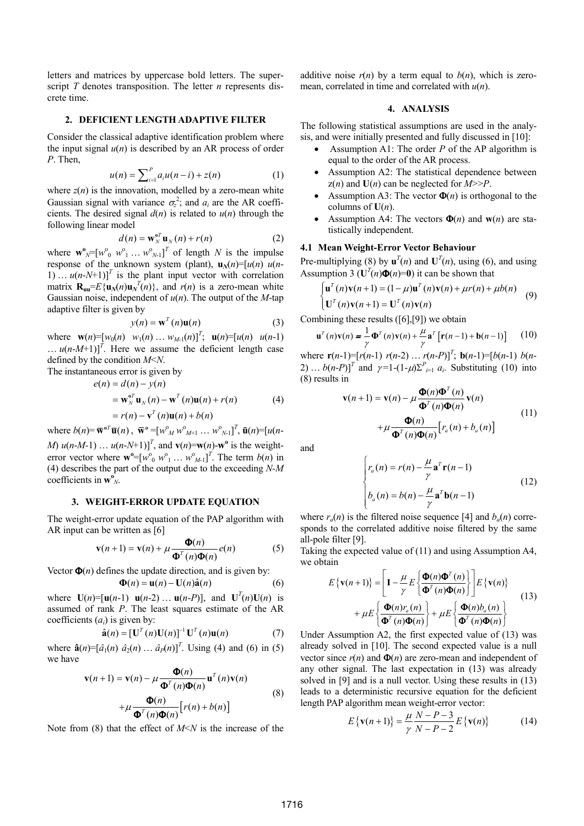letters and matrices by uppercase bold letters. The superscript  $T$  denotes transposition. The letter  $n$  represents discrete time.

#### 2. DEFICIENT LENGTH ADAPTIVE FILTER

Consider the classical adaptive identification problem where the input signal  $u(n)$  is described by an AR process of order P. Then,

$$
u(n) = \sum_{i=1}^{P} a_i u(n-i) + z(n)
$$
 (1)

where  $z(n)$  is the innovation, modelled by a zero-mean white Gaussian signal with variance  $\sigma_z^2$ ; and  $a_i$  are the AR coefficients. The desired signal  $d(n)$  is related to  $u(n)$  through the following linear model

$$
d(n) = \mathbf{w}_N^{\mathbf{0}T} \mathbf{u}_N(n) + r(n)
$$
 (2)

where  $\mathbf{w}^{\mathbf{0}}_{N} = [w^{\mathbf{0}}_{0} \ w^{\mathbf{0}}_{1} \ ... \ w^{\mathbf{0}}_{N-1}]^{T}$  of length N is the impulse response of the unknown system (plant),  $\mathbf{u}_N(n)=[u(n) \ u(n-1)]$ 1) ...  $u(n-N+1)$ <sup>T</sup> is the plant input vector with correlation matrix  $\mathbf{R}_{\mathbf{u}\mathbf{u}} = E\{\mathbf{u}_N(n)\mathbf{u}_N^T(n)\}\$ , and  $r(n)$  is a zero-mean white Gaussian noise, independent of  $u(n)$ . The output of the *M*-tap adaptive filter is given by

$$
y(n) = \mathbf{w}^{T}(n)\mathbf{u}(n)
$$
 (3)

where  $\mathbf{w}(n) = [w_0(n) \ w_1(n) \dots w_{M-1}(n)]^T$ ;  $\mathbf{u}(n) = [u(n) \ u(n-1)]^T$ ...  $u(n-M+1)$ <sup>T</sup>. Here we assume the deficient length case defined by the condition M<N.

The instantaneous error is given by

$$
e(n) = d(n) - y(n)
$$
  
=  $\mathbf{w}_N^{\sigma T} \mathbf{u}_N(n) - \mathbf{w}^T(n) \mathbf{u}(n) + r(n)$  (4)  
=  $r(n) - \mathbf{v}^T(n) \mathbf{u}(n) + b(n)$ 

where  $b(n) = \overline{\mathbf{w}}^{0T} \overline{\mathbf{u}}(n)$ ,  $\overline{\mathbf{w}}^{0} = [w^{0}_{M} w^{0}_{M+1} ... w^{0}_{N-1}]^{T}$ ,  $\overline{\mathbf{u}}(n) = [u(n-1)]^{T}$ 

*M*)  $u(n-M-1)$  ...  $u(n-N+1)$ <sup>T</sup>, and  $v(n) = w(n)$ -w<sup>o</sup> is the weighterror vector where  $\mathbf{w}^{\circ} = [w^{\circ}_0 w^{\circ}_1 ... w^{\circ}_{M-1}]^T$ . The term  $b(n)$  in (4) describes the part of the output due to the exceeding  $N-M$ coefficients in  $\mathbf{w}_{N}^{\mathbf{0}}$ .

## 3. WEIGHT-ERROR UPDATE EQUATION

The weight-error update equation of the PAP algorithm with AR input can be written as [6]

$$
\mathbf{v}(n+1) = \mathbf{v}(n) + \mu \frac{\mathbf{\Phi}(n)}{\mathbf{\Phi}^{T}(n)\mathbf{\Phi}(n)} e(n)
$$
 (5)

Vector  $\Phi(n)$  defines the update direction, and is given by:

$$
\mathbf{\Phi}(n) = \mathbf{u}(n) - \mathbf{U}(n)\hat{\mathbf{a}}(n) \tag{6}
$$

where  $\mathbf{U}(n) = [\mathbf{u}(n-1) \mathbf{u}(n-2) \dots \mathbf{u}(n-P)]$ , and  $\mathbf{U}^{T}(n)\mathbf{U}(n)$  is assumed of rank P. The least squares estimate of the AR coefficients  $(a_i)$  is given by:

$$
\hat{\mathbf{a}}(n) = [\mathbf{U}^T(n)\mathbf{U}(n)]^{-1}\mathbf{U}^T(n)\mathbf{u}(n) \tag{7}
$$

where  $\hat{\mathbf{a}}(n) = [\hat{a}_1(n) \; \hat{a}_2(n) \; \dots \; \hat{a}_p(n)]^T$ . Using (4) and (6) in (5) we have

$$
\mathbf{v}(n+1) = \mathbf{v}(n) - \mu \frac{\mathbf{\Phi}(n)}{\mathbf{\Phi}^{T}(n)\mathbf{\Phi}(n)} \mathbf{u}^{T}(n)\mathbf{v}(n)
$$
  
+ 
$$
\mu \frac{\mathbf{\Phi}(n)}{\mathbf{\Phi}^{T}(n)\mathbf{\Phi}(n)} [r(n) + b(n)]
$$
 (8)

Note from (8) that the effect of  $M \le N$  is the increase of the

additive noise  $r(n)$  by a term equal to  $b(n)$ , which is zeromean, correlated in time and correlated with  $u(n)$ .

#### 4. ANALYSIS

The following statistical assumptions are used in the analysis, and were initially presented and fully discussed in [10]:

- Assumption A1: The order  $P$  of the AP algorithm is equal to the order of the AR process.
- Assumption A2: The statistical dependence between  $z(n)$  and  $U(n)$  can be neglected for  $M>>P$ .
- Assumption A3: The vector  $\Phi(n)$  is orthogonal to the columns of  $U(n)$ .
- Assumption A4: The vectors  $\Phi(n)$  and  $w(n)$  are statistically independent.

#### 4.1 Mean Weight-Error Vector Behaviour

Pre-multiplying (8) by  $\mathbf{u}^{T}(n)$  and  $\mathbf{U}^{T}(n)$ , using (6), and using Assumption 3 ( $U^{T}(n)\Phi(n)=0$ ) it can be shown that

$$
\begin{cases}\n\mathbf{u}^T(n)\mathbf{v}(n+1) = (1-\mu)\mathbf{u}^T(n)\mathbf{v}(n) + \mu r(n) + \mu b(n) \\
\mathbf{U}^T(n)\mathbf{v}(n+1) = \mathbf{U}^T(n)\mathbf{v}(n)\n\end{cases}
$$
\n(9)

Combining these results ([6],[9]) we obtain

$$
\mathbf{u}^{T}(n)\mathbf{v}(n) = \frac{1}{\gamma}\mathbf{\Phi}^{T}(n)\mathbf{v}(n) + \frac{\mu}{\gamma}\mathbf{a}^{T}\left[\mathbf{r}(n-1) + \mathbf{b}(n-1)\right]
$$
 (10)

where  $\mathbf{r}(n-1) = [r(n-1) \ r(n-2) \dots r(n-P)]^T$ ;  $\mathbf{b}(n-1) = [b(n-1) \ b(n-1)]^T$ 2) ...  $b(n-P)$ <sup>T</sup> and  $\gamma=1-(1-\mu)\sum_{i=1}^{P} a_i$ . Substituting (10) into (8) results in

$$
\mathbf{v}(n+1) = \mathbf{v}(n) - \mu \frac{\mathbf{\Phi}(n)\mathbf{\Phi}^{T}(n)}{\mathbf{\Phi}^{T}(n)\mathbf{\Phi}(n)} \mathbf{v}(n)
$$
  
+ 
$$
\mu \frac{\mathbf{\Phi}(n)}{\mathbf{\Phi}^{T}(n)\mathbf{\Phi}(n)} [r_{a}(n) + b_{a}(n)]
$$
 (11)

and

$$
\begin{cases}\nr_a(n) = r(n) - \frac{\mu}{\gamma} \mathbf{a}^T \mathbf{r}(n-1) \\
b_a(n) = b(n) - \frac{\mu}{\gamma} \mathbf{a}^T \mathbf{b}(n-1)\n\end{cases}
$$
\n(12)

where  $r_a(n)$  is the filtered noise sequence [4] and  $b_a(n)$  corresponds to the correlated additive noise filtered by the same all-pole filter [9].

Taking the expected value of (11) and using Assumption A4, we obtain

$$
E\{\mathbf{v}(n+1)\} = \left[\mathbf{I} - \frac{\mu}{\gamma} E\left\{\frac{\mathbf{\Phi}(n)\mathbf{\Phi}^{T}(n)}{\mathbf{\Phi}^{T}(n)\mathbf{\Phi}(n)}\right\}\right] E\{\mathbf{v}(n)\}\n+ \mu E\left\{\frac{\mathbf{\Phi}(n)r_{a}(n)}{\mathbf{\Phi}^{T}(n)\mathbf{\Phi}(n)}\right\} + \mu E\left\{\frac{\mathbf{\Phi}(n)b_{a}(n)}{\mathbf{\Phi}^{T}(n)\mathbf{\Phi}(n)}\right\}
$$
\n(13)

Under Assumption A2, the first expected value of (13) was already solved in [10]. The second expected value is a null vector since  $r(n)$  and  $\Phi(n)$  are zero-mean and independent of any other signal. The last expectation in (13) was already solved in [9] and is a null vector. Using these results in (13) leads to a deterministic recursive equation for the deficient length PAP algorithm mean weight-error vector:

$$
E\{\mathbf{v}(n+1)\} = \frac{\mu}{\gamma} \frac{N - P - 3}{N - P - 2} E\{\mathbf{v}(n)\}
$$
 (14)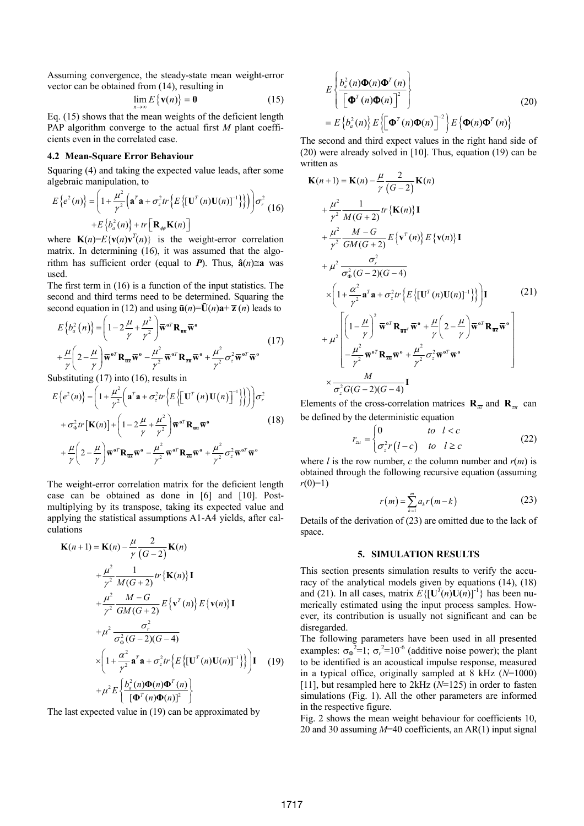Assuming convergence, the steady-state mean weight-error vector can be obtained from (14), resulting in

$$
\lim_{n \to \infty} E\left\{ \mathbf{v}(n) \right\} = \mathbf{0} \tag{15}
$$

Eq. (15) shows that the mean weights of the deficient length PAP algorithm converge to the actual first M plant coefficients even in the correlated case.

### 4.2 Mean-Square Error Behaviour

Squaring (4) and taking the expected value leads, after some algebraic manipulation, to

$$
E\{e^{2}(n)\} = \left(1 + \frac{\mu^{2}}{\gamma^{2}}\left(\mathbf{a}^{T}\mathbf{a} + \sigma_{z}^{2}tr\left\{E\left\{[\mathbf{U}^{T}(n)\mathbf{U}(n)]^{-1}\right\}\right\}\right)\right)\sigma_{r}^{2}
$$
  
+ 
$$
E\{b_{a}^{2}(n)\} + tr\left[\mathbf{R}_{\phi\phi}\mathbf{K}(n)\right]
$$

where  $\mathbf{K}(n) = E\{\mathbf{v}(n)\mathbf{v}^{T}(n)\}\$ is the weight-error correlation matrix. In determining (16), it was assumed that the algorithm has sufficient order (equal to P). Thus,  $\hat{a}(n) \cong a$  was used.

The first term in (16) is a function of the input statistics. The second and third terms need to be determined. Squaring the second equation in (12) and using  $\bar{u}(n) = \bar{U}(n)a + \bar{z}(n)$  leads to

$$
E\left\{b_a^2(n)\right\} = \left(1 - 2\frac{\mu}{\gamma} + \frac{\mu^2}{\gamma^2}\right) \overline{\mathbf{w}}^{\,\text{of}} \mathbf{R}_{\overline{\mathbf{u}} \overline{\mathbf{w}}}^{\,\text{o}}
$$
  
+ 
$$
\frac{\mu}{\gamma} \left(2 - \frac{\mu}{\gamma}\right) \overline{\mathbf{w}}^{\,\text{of}} \mathbf{R}_{\overline{\mathbf{u}} \overline{\mathbf{w}}}^{\,\text{o}} - \frac{\mu^2}{\gamma^2} \overline{\mathbf{w}}^{\,\text{of}} \mathbf{R}_{\overline{\mathbf{z}} \overline{\mathbf{w}}}^{\,\text{o}} + \frac{\mu^2}{\gamma^2} \sigma_z^2 \overline{\mathbf{w}}^{\,\text{of}} \overline{\mathbf{w}}^{\,\text{o}} \tag{17}
$$

Substituting (17) into (16), results in

$$
E\left\{e^{2}(n)\right\} = \left(1 + \frac{\mu^{2}}{\gamma^{2}}\left(\mathbf{a}^{T}\mathbf{a} + \sigma_{z}^{2}tr\left\{E\left[\left(\mathbf{U}^{T}\left(n\right)\mathbf{U}\left(n\right)\right]^{-1}\right\}\right]\right)\right)\sigma_{r}^{2} + \sigma_{\Phi}^{2}tr\left[\mathbf{K}(n)\right] + \left(1 - 2\frac{\mu}{\gamma} + \frac{\mu^{2}}{\gamma^{2}}\right)\overline{\mathbf{w}}^{0T}\mathbf{R}_{\overline{\mathbf{u}}\overline{\mathbf{w}}^{0}}\mathbf{w}^{0} + \frac{\mu}{\gamma}\left(2 - \frac{\mu}{\gamma}\right)\overline{\mathbf{w}}^{0T}\mathbf{R}_{\overline{\mathbf{u}}\overline{\mathbf{w}}^{0}} - \frac{\mu^{2}}{\gamma^{2}}\overline{\mathbf{w}}^{0T}\mathbf{R}_{\overline{\mathbf{z}}\overline{\mathbf{u}}^{0}} + \frac{\mu^{2}}{\gamma^{2}}\sigma_{z}^{2}\overline{\mathbf{w}}^{0T}\overline{\mathbf{w}}^{0}
$$
\n(18)

The weight-error correlation matrix for the deficient length case can be obtained as done in [6] and [10]. Postmultiplying by its transpose, taking its expected value and applying the statistical assumptions A1-A4 yields, after calculations

$$
\mathbf{K}(n+1) = \mathbf{K}(n) - \frac{\mu}{\gamma} \frac{2}{(G-2)} \mathbf{K}(n) \n+ \frac{\mu^2}{\gamma^2} \frac{1}{M(G+2)} tr \{ \mathbf{K}(n) \} \mathbf{I} \n+ \frac{\mu^2}{\gamma^2} \frac{M-G}{GM(G+2)} E \{ \mathbf{v}^T(n) \} E \{ \mathbf{v}(n) \} \mathbf{I} \n+ \mu^2 \frac{\sigma_r^2}{\sigma_{\phi}^2 (G-2)(G-4)} \n\times \left( 1 + \frac{\alpha^2}{\gamma^2} \mathbf{a}^T \mathbf{a} + \sigma_z^2 tr \{ E \{ [\mathbf{U}^T(n) \mathbf{U}(n)]^{-1} \} \} \right) \mathbf{I} \quad (19) \n+ \mu^2 E \left\{ \frac{b_a^2(n) \Phi(n) \Phi^T(n)}{[\Phi^T(n) \Phi(n)]^2} \right\}
$$

The last expected value in (19) can be approximated by

$$
E\left\{\frac{b_a^2(n)\Phi(n)\Phi^T(n)}{\left[\Phi^T(n)\Phi(n)\right]^2}\right\}
$$
\n
$$
= E\left\{b_a^2(n)\right\} E\left\{\left[\Phi^T(n)\Phi(n)\right]^2\right\} E\left\{\Phi(n)\Phi^T(n)\right\}
$$
\n(20)

The second and third expect values in the right hand side of (20) were already solved in [10]. Thus, equation (19) can be written as

$$
\mathbf{K}(n+1) = \mathbf{K}(n) - \frac{\mu}{\gamma} \frac{2}{(G-2)} \mathbf{K}(n)
$$
  
+ 
$$
\frac{\mu^2}{\gamma^2} \frac{1}{M(G+2)} tr \{ \mathbf{K}(n) \} \mathbf{I}
$$
  
+ 
$$
\frac{\mu^2}{\gamma^2} \frac{M-G}{GM(G+2)} E \{ \mathbf{v}^T(n) \} E \{ \mathbf{v}(n) \} \mathbf{I}
$$
  
+ 
$$
\mu^2 \frac{\sigma_r^2}{\sigma_{\phi}^2 (G-2)(G-4)}
$$
  

$$
\times \left( 1 + \frac{\alpha^2}{\gamma^2} \mathbf{a}^T \mathbf{a} + \sigma_z^2 tr \{ E \{ [\mathbf{U}^T(n) \mathbf{U}(n)]^{-1} \} \} \right) \mathbf{I}
$$
(21)  
+ 
$$
\mu^2 \left[ \left( 1 - \frac{\mu}{\gamma} \right)^2 \overline{\mathbf{w}}^{\sigma T} \mathbf{R}_{\overline{\mathbf{u}} \overline{\mathbf{u}}} \overline{\mathbf{w}}^{\sigma} + \frac{\mu}{\gamma} \left( 2 - \frac{\mu}{\gamma} \right) \overline{\mathbf{w}}^{\sigma T} \mathbf{R}_{\overline{\mathbf{u}} \overline{\mathbf{v}}} \overline{\mathbf{w}}^{\sigma} \right]
$$
  
+ 
$$
\mu^2 \left[ \frac{\mu^2}{\gamma^2} \overline{\mathbf{w}}^{\sigma T} \mathbf{R}_{\overline{\mathbf{u}}} \overline{\mathbf{w}}^{\sigma} + \frac{\mu^2}{\gamma^2} \sigma_z^2 \overline{\mathbf{w}}^{\sigma T} \overline{\mathbf{w}}^{\sigma}
$$
  

$$
\times \frac{M}{\sigma_z^2 G(G-2)(G-4)} \mathbf{I}
$$

Elements of the cross-correlation matrices  $\mathbf{R}_{\overline{w}}$  and  $\mathbf{R}_{\overline{w}}$  can be defined by the deterministic equation

$$
r_{zu} = \begin{cases} 0 & \text{to} \quad l < c \\ \sigma_z^2 r(l-c) & \text{to} \quad l \ge c \end{cases}
$$
 (22)

where *l* is the row number, *c* the column number and  $r(m)$  is obtained through the following recursive equation (assuming  $r(0)=1$ )

$$
r(m) = \sum_{k=1}^{m} a_k r(m-k)
$$
 (23)

Details of the derivation of (23) are omitted due to the lack of space.

#### 5. SIMULATION RESULTS

This section presents simulation results to verify the accuracy of the analytical models given by equations (14), (18) and (21). In all cases, matrix  $E\{[\mathbf{U}^{T}(n)\mathbf{U}(n)]^{-1}\}\)$  has been numerically estimated using the input process samples. However, its contribution is usually not significant and can be disregarded.

The following parameters have been used in all presented examples:  $\sigma_{\phi}^2 = 1$ ;  $\sigma_r^2 = 10^{-6}$  (additive noise power); the plant to be identified is an acoustical impulse response, measured in a typical office, originally sampled at 8 kHz  $(N=1000)$ [11], but resampled here to  $2kHz$  ( $N=125$ ) in order to fasten simulations (Fig. 1). All the other parameters are informed in the respective figure.

Fig. 2 shows the mean weight behaviour for coefficients 10, 20 and 30 assuming  $M=40$  coefficients, an AR(1) input signal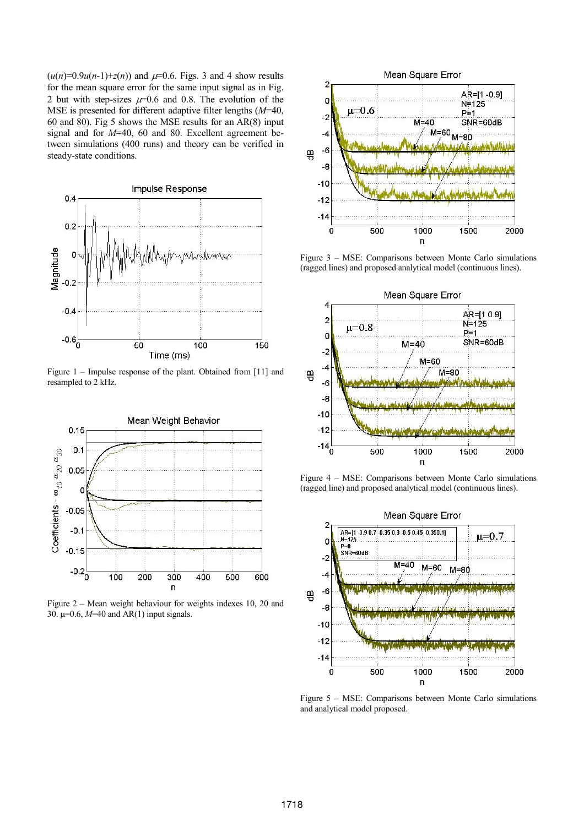$(u(n)=0.9u(n-1)+z(n))$  and  $\mu=0.6$ . Figs. 3 and 4 show results for the mean square error for the same input signal as in Fig. 2 but with step-sizes  $\mu=0.6$  and 0.8. The evolution of the MSE is presented for different adaptive filter lengths  $(M=40,$ 60 and 80). Fig 5 shows the MSE results for an AR(8) input signal and for M=40, 60 and 80. Excellent agreement between simulations (400 runs) and theory can be verified in steady-state conditions.



Figure 1 – Impulse response of the plant. Obtained from [11] and resampled to 2 kHz.



Figure 2 – Mean weight behaviour for weights indexes 10, 20 and 30.  $\mu$ =0.6, *M*=40 and AR(1) input signals.



Figure 3 – MSE: Comparisons between Monte Carlo simulations (ragged lines) and proposed analytical model (continuous lines).



Figure 4 – MSE: Comparisons between Monte Carlo simulations (ragged line) and proposed analytical model (continuous lines).



Figure 5 – MSE: Comparisons between Monte Carlo simulations and analytical model proposed.